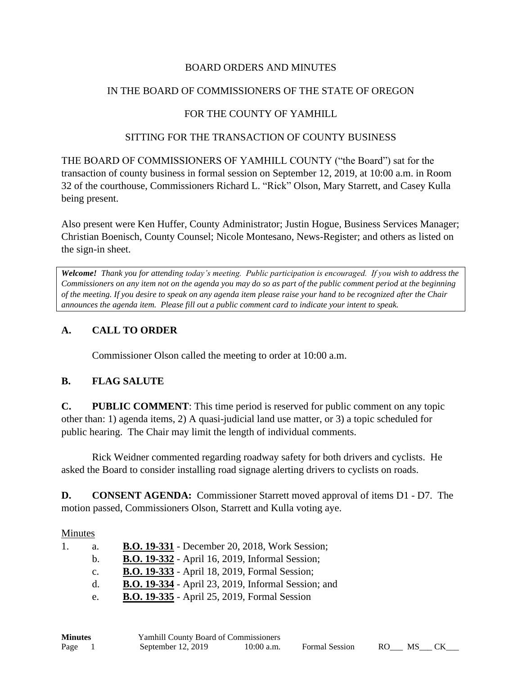### BOARD ORDERS AND MINUTES

### IN THE BOARD OF COMMISSIONERS OF THE STATE OF OREGON

## FOR THE COUNTY OF YAMHILL

#### SITTING FOR THE TRANSACTION OF COUNTY BUSINESS

THE BOARD OF COMMISSIONERS OF YAMHILL COUNTY ("the Board") sat for the transaction of county business in formal session on September 12, 2019, at 10:00 a.m. in Room 32 of the courthouse, Commissioners Richard L. "Rick" Olson, Mary Starrett, and Casey Kulla being present.

Also present were Ken Huffer, County Administrator; Justin Hogue, Business Services Manager; Christian Boenisch, County Counsel; Nicole Montesano, News-Register; and others as listed on the sign-in sheet.

*Welcome! Thank you for attending today's meeting. Public participation is encouraged. If you wish to address the Commissioners on any item not on the agenda you may do so as part of the public comment period at the beginning of the meeting. If you desire to speak on any agenda item please raise your hand to be recognized after the Chair announces the agenda item. Please fill out a public comment card to indicate your intent to speak.*

## **A. CALL TO ORDER**

Commissioner Olson called the meeting to order at 10:00 a.m.

### **B. FLAG SALUTE**

**C. PUBLIC COMMENT**: This time period is reserved for public comment on any topic other than: 1) agenda items, 2) A quasi-judicial land use matter, or 3) a topic scheduled for public hearing. The Chair may limit the length of individual comments.

Rick Weidner commented regarding roadway safety for both drivers and cyclists. He asked the Board to consider installing road signage alerting drivers to cyclists on roads.

**D. CONSENT AGENDA:** Commissioner Starrett moved approval of items D1 - D7. The motion passed, Commissioners Olson, Starrett and Kulla voting aye.

#### Minutes

| 1. | a.             | <b>B.O. 19-331</b> - December 20, 2018, Work Session;      |
|----|----------------|------------------------------------------------------------|
|    | $h_{-}$        | <b>B.O. 19-332</b> - April 16, 2019, Informal Session;     |
|    | $\mathbf{C}$ . | <b>B.O. 19-333</b> - April 18, 2019, Formal Session;       |
|    | $d_{\cdot}$    | <b>B.O. 19-334</b> - April 23, 2019, Informal Session; and |
|    | e.             | <b>B.O. 19-335</b> - April 25, 2019, Formal Session        |

| <b>Minutes</b> | <b>Yamhill County Board of Commissioners</b> |              |                       |      |     |  |  |
|----------------|----------------------------------------------|--------------|-----------------------|------|-----|--|--|
| Page           | September 12, 2019                           | $10:00$ a.m. | <b>Formal Session</b> | RO – | MS. |  |  |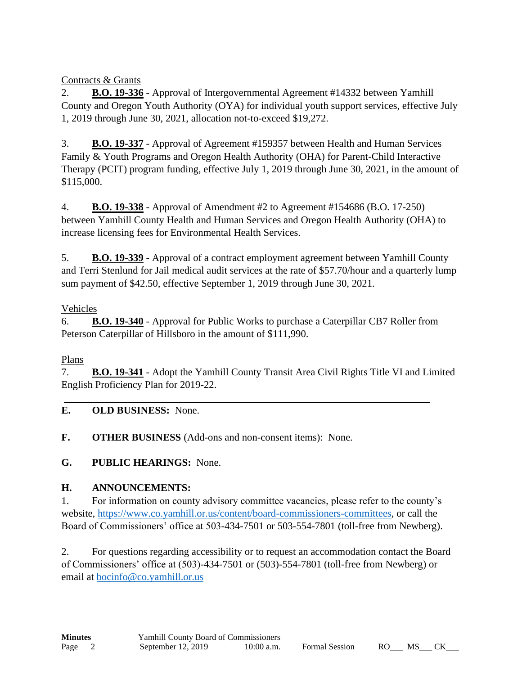Contracts & Grants

2. **B.O. 19-336** - Approval of Intergovernmental Agreement #14332 between Yamhill County and Oregon Youth Authority (OYA) for individual youth support services, effective July 1, 2019 through June 30, 2021, allocation not-to-exceed \$19,272.

3. **B.O. 19-337** - Approval of Agreement #159357 between Health and Human Services Family & Youth Programs and Oregon Health Authority (OHA) for Parent-Child Interactive Therapy (PCIT) program funding, effective July 1, 2019 through June 30, 2021, in the amount of \$115,000.

4. **B.O. 19-338** - Approval of Amendment #2 to Agreement #154686 (B.O. 17-250) between Yamhill County Health and Human Services and Oregon Health Authority (OHA) to increase licensing fees for Environmental Health Services.

5. **B.O. 19-339** - Approval of a contract employment agreement between Yamhill County and Terri Stenlund for Jail medical audit services at the rate of \$57.70/hour and a quarterly lump sum payment of \$42.50, effective September 1, 2019 through June 30, 2021.

# Vehicles

6. **B.O. 19-340** - Approval for Public Works to purchase a Caterpillar CB7 Roller from Peterson Caterpillar of Hillsboro in the amount of \$111,990.

# Plans

7. **B.O. 19-341** - Adopt the Yamhill County Transit Area Civil Rights Title VI and Limited English Proficiency Plan for 2019-22.

# **E. OLD BUSINESS:** None.

**F. OTHER BUSINESS** (Add-ons and non-consent items): None.

**G. PUBLIC HEARINGS:** None.

# **H. ANNOUNCEMENTS:**

1. For information on county advisory committee vacancies, please refer to the county's website, [https://www.co.yamhill.or.us/content/board-commissioners-committees,](https://www.co.yamhill.or.us/content/board-commissioners-committees) or call the Board of Commissioners' office at 503-434-7501 or 503-554-7801 (toll-free from Newberg).

2. For questions regarding accessibility or to request an accommodation contact the Board of Commissioners' office at (503)-434-7501 or (503)-554-7801 (toll-free from Newberg) or email at [bocinfo@co.yamhill.or.us](mailto:bocinfo@co.yamhill.or.us)